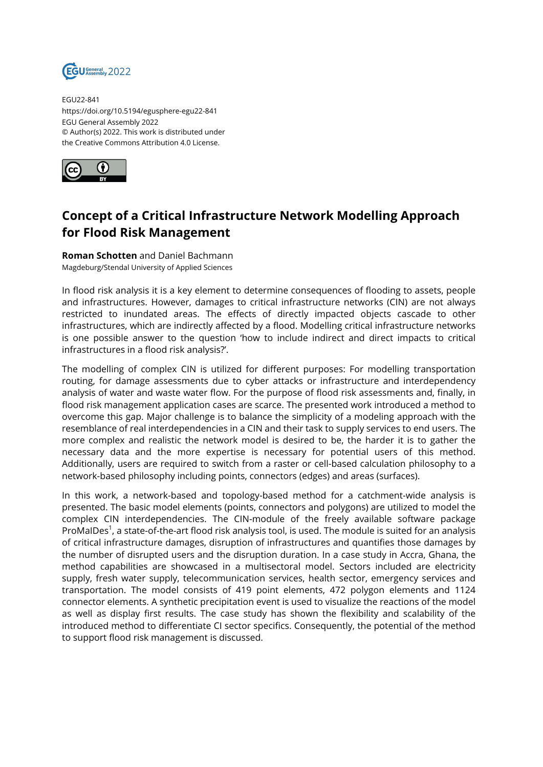

EGU22-841 https://doi.org/10.5194/egusphere-egu22-841 EGU General Assembly 2022 © Author(s) 2022. This work is distributed under the Creative Commons Attribution 4.0 License.



## **Concept of a Critical Infrastructure Network Modelling Approach for Flood Risk Management**

**Roman Schotten** and Daniel Bachmann Magdeburg/Stendal University of Applied Sciences

In flood risk analysis it is a key element to determine consequences of flooding to assets, people and infrastructures. However, damages to critical infrastructure networks (CIN) are not always restricted to inundated areas. The effects of directly impacted objects cascade to other infrastructures, which are indirectly affected by a flood. Modelling critical infrastructure networks is one possible answer to the question 'how to include indirect and direct impacts to critical infrastructures in a flood risk analysis?'.

The modelling of complex CIN is utilized for different purposes: For modelling transportation routing, for damage assessments due to cyber attacks or infrastructure and interdependency analysis of water and waste water flow. For the purpose of flood risk assessments and, finally, in flood risk management application cases are scarce. The presented work introduced a method to overcome this gap. Major challenge is to balance the simplicity of a modeling approach with the resemblance of real interdependencies in a CIN and their task to supply services to end users. The more complex and realistic the network model is desired to be, the harder it is to gather the necessary data and the more expertise is necessary for potential users of this method. Additionally, users are required to switch from a raster or cell-based calculation philosophy to a network-based philosophy including points, connectors (edges) and areas (surfaces).

In this work, a network-based and topology-based method for a catchment-wide analysis is presented. The basic model elements (points, connectors and polygons) are utilized to model the complex CIN interdependencies. The CIN-module of the freely available software package ProMalDes<sup>1</sup>, a state-of-the-art flood risk analysis tool, is used. The module is suited for an analysis of critical infrastructure damages, disruption of infrastructures and quantifies those damages by the number of disrupted users and the disruption duration. In a case study in Accra, Ghana, the method capabilities are showcased in a multisectoral model. Sectors included are electricity supply, fresh water supply, telecommunication services, health sector, emergency services and transportation. The model consists of 419 point elements, 472 polygon elements and 1124 connector elements. A synthetic precipitation event is used to visualize the reactions of the model as well as display first results. The case study has shown the flexibility and scalability of the introduced method to differentiate CI sector specifics. Consequently, the potential of the method to support flood risk management is discussed.